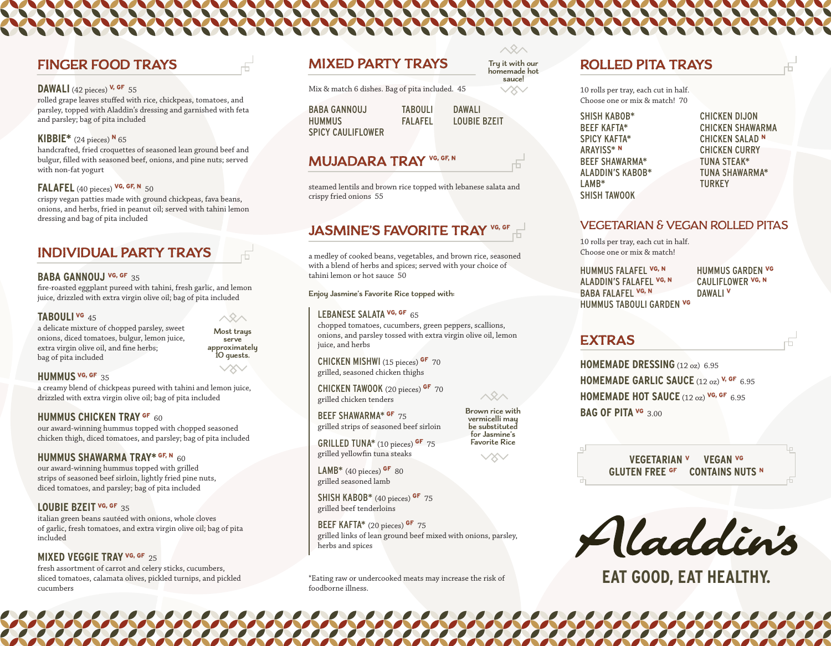# **FINGER FOOD TRAYS**

## **DAWALI** (42 pieces) **V, GF** 55

rolled grape leaves stuffed with rice, chickpeas, tomatoes, and parsley, topped with Aladdin's dressing and garnished with feta and parsley; bag of pita included

## **KIBBIE\*** (24 pieces) **<sup>N</sup>** 65

handcrafted, fried croquettes of seasoned lean ground beef and bulgur, filled with seasoned beef, onions, and pine nuts; served with non-fat yogurt

#### **FALAFEL** (40 pieces) **VG, GF, N** 50

crispy vegan patties made with ground chickpeas, fava beans, onions, and herbs, fried in peanut oil; served with tahini lemon dressing and bag of pita included

# **INDIVIDUAL PARTY TRAYS**

#### **BABA GANNOUJ VG, GF** 35

fire-roasted eggplant pureed with tahini, fresh garlic, and lemon juice, drizzled with extra virgin olive oil; bag of pita included

### **TABOULI VG** 45

a delicate mixture of chopped parsley, sweet onions, diced tomatoes, bulgur, lemon juice, extra virgin olive oil, and fine herbs; bag of pita included

# $\triangle 2 \triangle$ **Most trays serve approximately 10 guests.**

### **HUMMUS VG, GF** 35

a creamy blend of chickpeas pureed with tahini and lemon juice, drizzled with extra virgin olive oil; bag of pita included

## **HUMMUS CHICKEN TRAY OF 60**

our award-winning hummus topped with chopped seasoned chicken thigh, diced tomatoes, and parsley; bag of pita included

#### **HUMMUS SHAWARMA TRAY\* GF, N** 60

our award-winning hummus topped with grilled strips of seasoned beef sirloin, lightly fried pine nuts, diced tomatoes, and parsley; bag of pita included

### **LOUBIE BZEIT VG, GF** 35

italian green beans sautéed with onions, whole cloves of garlic, fresh tomatoes, and extra virgin olive oil; bag of pita included

## **MIXED VEGGIE TRAY VG, GF** 25

fresh assortment of carrot and celery sticks, cucumbers, sliced tomatoes, calamata olives, pickled turnips, and pickled cucumbers

# **MIXED PARTY TRAYS**

Mix & match 6 dishes. Bag of pita included. 45

BABA GANNOUJ **HUMMUS** SPICY CAULIFLOWER TABOULI FALAFEL DAWALI LOUBIE BZEIT

**Try it with our homemade hot sauce!**

 $\vee \!\! \infty$ 

# **MUJADARA TRAY VG, GF, N**

steamed lentils and brown rice topped with lebanese salata and crispy fried onions 55

# **JASMINE'S FAVORITE TRAY <sup>VG, GF</sup>**

a medley of cooked beans, vegetables, and brown rice, seasoned with a blend of herbs and spices; served with your choice of tahini lemon or hot sauce 50

**Enjoy Jasmine's Favorite Rice topped with:**

## LEBANESE SALATA **VG, GF** 65

chopped tomatoes, cucumbers, green peppers, scallions, onions, and parsley tossed with extra virgin olive oil, lemon juice, and herbs

CHICKEN MISHWI (15 pieces) **GF** 70 grilled, seasoned chicken thighs

CHICKEN TAWOOK (20 pieces) **GF** 70 grilled chicken tenders

BEEF SHAWARMA\* **GF** 75 grilled strips of seasoned beef sirloin

GRILLED TUNA\* (10 pieces) **GF** 75 grilled yellowfin tuna steaks

LAMB\* (40 pieces) **GF** 80 grilled seasoned lamb

SHISH KABOB\* (40 pieces) **GF** 75 grilled beef tenderloins

BEEF KAFTA\* (20 pieces) **GF** 75 grilled links of lean ground beef mixed with onions, parsley, herbs and spices

\*Eating raw or undercooked meats may increase the risk of foodborne illness.

# **ROLLED PITA TRAYS**

10 rolls per tray, each cut in half. Choose one or mix & match! 70

SHISH KABOB\* BEEF KAFTA\* SPICY KAFTA\* ARAYISS\* **<sup>N</sup>** BEEF SHAWARMA\* ALADDIN'S KABOB\* LAMB\* SHISH TAWOOK

CHICKEN DIJON CHICKEN SHAWARMA CHICKEN SALAD **<sup>N</sup>** CHICKEN CURRY TUNA STEAK\* TUNA SHAWARMA\* TURKEY

## VEGETARIAN & VEGAN ROLLED PITAS

10 rolls per tray, each cut in half. Choose one or mix & match!

HUMMUS FALAFEL **VG, N**  ALADDIN'S FALAFEL **VG, N** BABA FALAFEL **VG, N** HUMMUS TABOULI GARDEN **VG**

HUMMUS GARDEN **VG** CAULIFLOWER **VG, N** DAWALI **<sup>V</sup>**

# **EXTRAS**

**HOMEMADE DRESSING** (12 oz) 6.95 **HOMEMADE GARLIC SAUCE** (12 oz) **V, GF** 6.95 **HOMEMADE HOT SAUCE** (12 oz) **VG, GF** 6.95 **BAG OF PITA VG** 3.00

> **VEGETARIAN <sup>V</sup>VEGAN VG GLUTEN FREE GF CONTAINS NUTS <sup>N</sup>**

Aladdin's

**EAT GOOD, EAT HEALTHY.**

**Brown rice with vermicelli may for Jasmine's Favorite Rice**

 $\wedge$ 

**be substituted**